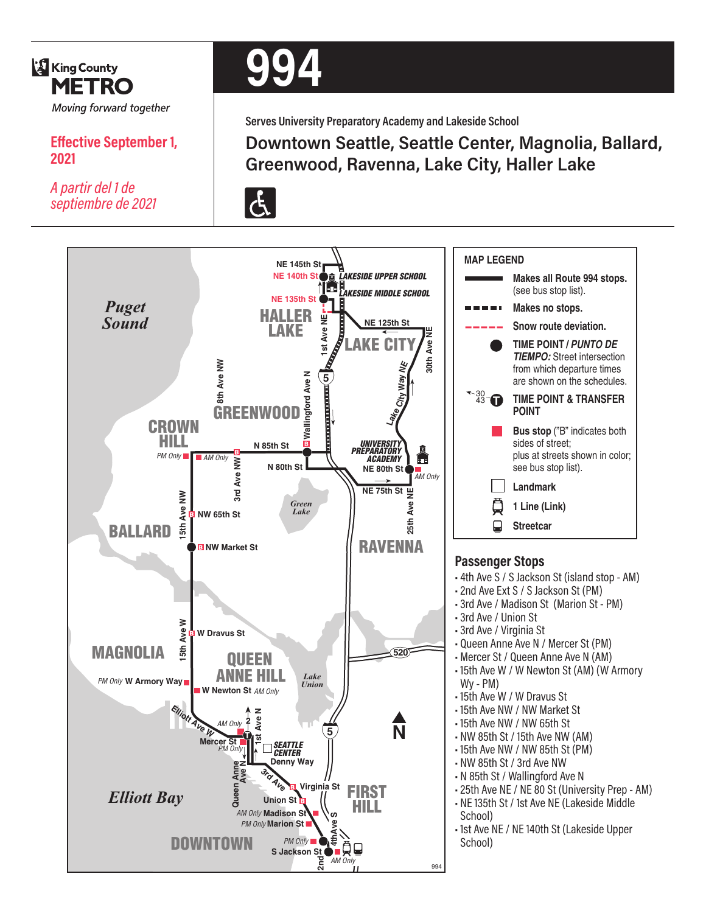

## **Effective September 1, 2021**

*A partir del 1 de septiembre de 2021*

# **994**

**Serves University Preparatory Academy and Lakeside School**

## **Downtown Seattle, Seattle Center, Magnolia, Ballard, Greenwood, Ravenna, Lake City, Haller Lake**